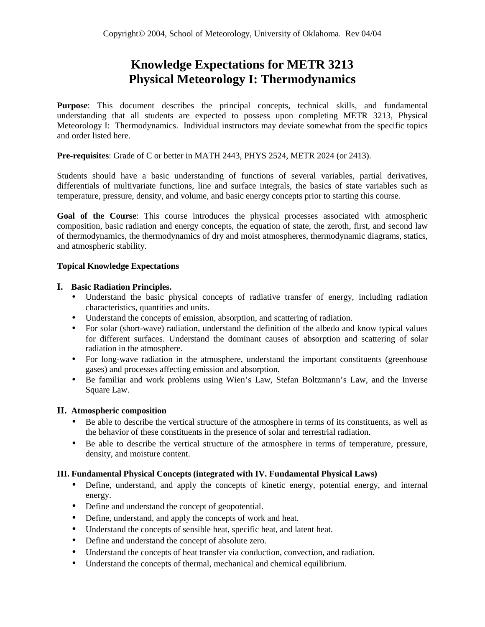# **Knowledge Expectations for METR 3213 Physical Meteorology I: Thermodynamics**

**Purpose**: This document describes the principal concepts, technical skills, and fundamental understanding that all students are expected to possess upon completing METR 3213, Physical Meteorology I: Thermodynamics. Individual instructors may deviate somewhat from the specific topics and order listed here.

**Pre-requisites**: Grade of C or better in MATH 2443, PHYS 2524, METR 2024 (or 2413).

Students should have a basic understanding of functions of several variables, partial derivatives, differentials of multivariate functions, line and surface integrals, the basics of state variables such as temperature, pressure, density, and volume, and basic energy concepts prior to starting this course.

**Goal of the Course**: This course introduces the physical processes associated with atmospheric composition, basic radiation and energy concepts, the equation of state, the zeroth, first, and second law of thermodynamics, the thermodynamics of dry and moist atmospheres, thermodynamic diagrams, statics, and atmospheric stability.

### **Topical Knowledge Expectations**

#### **I. Basic Radiation Principles.**

- Understand the basic physical concepts of radiative transfer of energy, including radiation characteristics, quantities and units.
- Understand the concepts of emission, absorption, and scattering of radiation.
- For solar (short-wave) radiation, understand the definition of the albedo and know typical values for different surfaces. Understand the dominant causes of absorption and scattering of solar radiation in the atmosphere.
- For long-wave radiation in the atmosphere, understand the important constituents (greenhouse gases) and processes affecting emission and absorption.
- Be familiar and work problems using Wien's Law, Stefan Boltzmann's Law, and the Inverse Square Law.

#### **II. Atmospheric composition**

- Be able to describe the vertical structure of the atmosphere in terms of its constituents, as well as the behavior of these constituents in the presence of solar and terrestrial radiation.
- Be able to describe the vertical structure of the atmosphere in terms of temperature, pressure, density, and moisture content.

## **III. Fundamental Physical Concepts (integrated with IV. Fundamental Physical Laws)**

- Define, understand, and apply the concepts of kinetic energy, potential energy, and internal energy.
- Define and understand the concept of geopotential.
- Define, understand, and apply the concepts of work and heat.
- Understand the concepts of sensible heat, specific heat, and latent heat.
- Define and understand the concept of absolute zero.
- Understand the concepts of heat transfer via conduction, convection, and radiation.
- Understand the concepts of thermal, mechanical and chemical equilibrium.